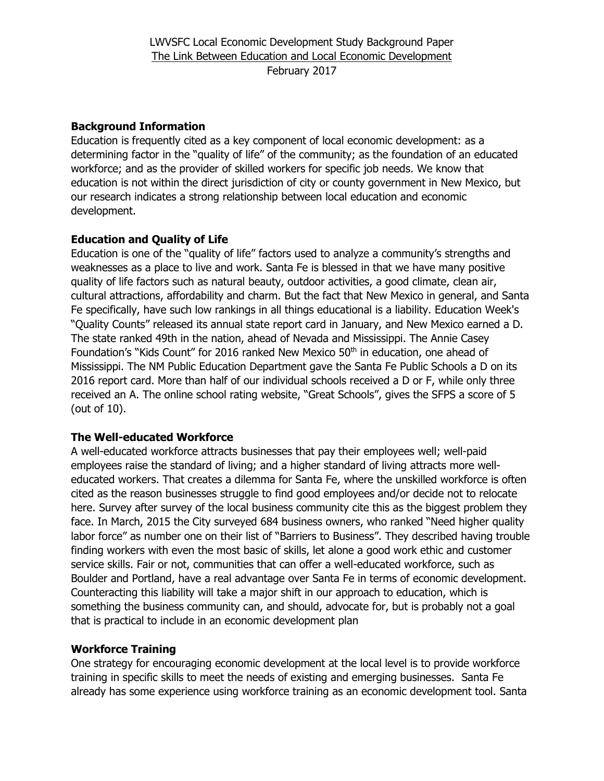## **Background Information**

Education is frequently cited as a key component of local economic development: as a determining factor in the "quality of life" of the community; as the foundation of an educated workforce; and as the provider of skilled workers for specific job needs. We know that education is not within the direct jurisdiction of city or county government in New Mexico, but our research indicates a strong relationship between local education and economic development.

## **Education and Quality of Life**

Education is one of the "quality of life" factors used to analyze a community's strengths and weaknesses as a place to live and work. Santa Fe is blessed in that we have many positive quality of life factors such as natural beauty, outdoor activities, a good climate, clean air, cultural attractions, affordability and charm. But the fact that New Mexico in general, and Santa Fe specifically, have such low rankings in all things educational is a liability. Education Week's "Quality Counts" released its annual state report card in January, and New Mexico earned a D. The state ranked 49th in the nation, ahead of Nevada and Mississippi. The Annie Casey Foundation's "Kids Count" for 2016 ranked New Mexico 50<sup>th</sup> in education, one ahead of Mississippi. The NM Public Education Department gave the Santa Fe Public Schools a D on its 2016 report card. More than half of our individual schools received a D or F, while only three received an A. The online school rating website, "Great Schools", gives the SFPS a score of 5 (out of 10).

## **The Well-educated Workforce**

A well-educated workforce attracts businesses that pay their employees well; well-paid employees raise the standard of living; and a higher standard of living attracts more welleducated workers. That creates a dilemma for Santa Fe, where the unskilled workforce is often cited as the reason businesses struggle to find good employees and/or decide not to relocate here. Survey after survey of the local business community cite this as the biggest problem they face. In March, 2015 the City surveyed 684 business owners, who ranked "Need higher quality labor force" as number one on their list of "Barriers to Business". They described having trouble finding workers with even the most basic of skills, let alone a good work ethic and customer service skills. Fair or not, communities that can offer a well-educated workforce, such as Boulder and Portland, have a real advantage over Santa Fe in terms of economic development. Counteracting this liability will take a major shift in our approach to education, which is something the business community can, and should, advocate for, but is probably not a goal that is practical to include in an economic development plan

## **Workforce Training**

One strategy for encouraging economic development at the local level is to provide workforce training in specific skills to meet the needs of existing and emerging businesses. Santa Fe already has some experience using workforce training as an economic development tool. Santa